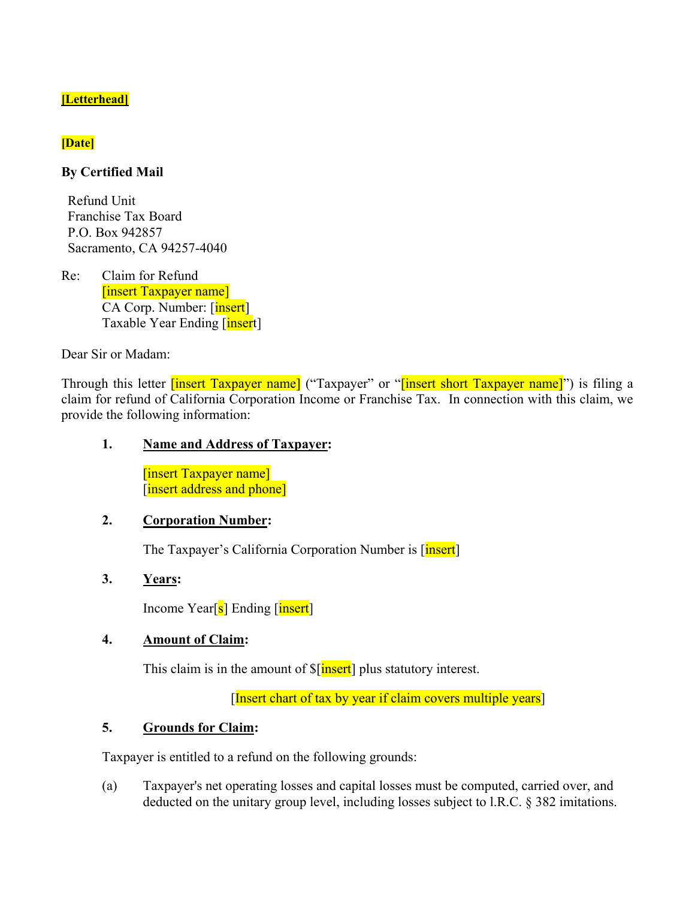# **[Letterhead]**

# **[Date]**

# **By Certified Mail**

Refund Unit Franchise Tax Board P.O. Box 942857 Sacramento, CA 94257-4040

Re: Claim for Refund [insert Taxpayer name] CA Corp. Number: [insert] Taxable Year Ending [insert]

Dear Sir or Madam:

Through this letter *[insert Taxpayer name]* ("Taxpayer" or "*[insert short Taxpayer name]*") is filing a claim for refund of California Corporation Income or Franchise Tax. In connection with this claim, we provide the following information:

# **1. Name and Address of Taxpayer:**

[insert Taxpayer name] [insert address and phone]

#### **2. Corporation Number:**

The Taxpayer's California Corporation Number is [insert]

# **3. Years:**

Income Year[s] Ending [insert]

# **4. Amount of Claim:**

This claim is in the amount of  $\frac{\sin \theta}{\cos \theta}$  plus statutory interest.

[Insert chart of tax by year if claim covers multiple years]

# **5. Grounds for Claim:**

Taxpayer is entitled to a refund on the following grounds:

(a) Taxpayer's net operating losses and capital losses must be computed, carried over, and deducted on the unitary group level, including losses subject to l.R.C. § 382 imitations.